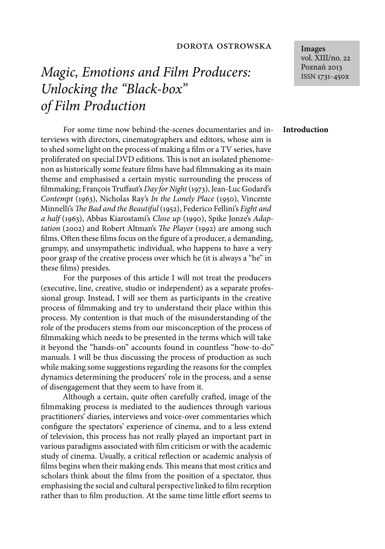### dorota ostrowska

# *Magic, Emotions and Film Producers: Unlocking the "Black-box" of Film Production*

For some time now behind-the-scenes documentaries and interviews with directors, cinematographers and editors, whose aim is to shed some light on the process of making a film or a TV series, have proliferated on special DVD editions. This is not an isolated phenomenon as historically some feature films have had filmmaking as its main theme and emphasised a certain mystic surrounding the process of filmmaking; François Truffaut's *Day for Night* (1973), Jean-Luc Godard's *Contempt* (1963), Nicholas Ray's *In the Lonely Place* (1950), Vincente Minnelli's *The Bad and the Beautiful* (1952), Federico Fellini's *Eight and a half* (1963), Abbas Kiarostami's *Close up* (1990), Spike Jonze's *Adaptation* (2002) and Robert Altman's *The Player* (1992) are among such films. Often these films focus on the figure of a producer, a demanding, grumpy, and unsympathetic individual, who happens to have a very poor grasp of the creative process over which he (it is always a "he" in these films) presides.

For the purposes of this article I will not treat the producers (executive, line, creative, studio or independent) as a separate professional group. Instead, I will see them as participants in the creative process of filmmaking and try to understand their place within this process. My contention is that much of the misunderstanding of the role of the producers stems from our misconception of the process of filmmaking which needs to be presented in the terms which will take it beyond the "hands-on" accounts found in countless "how-to-do" manuals. I will be thus discussing the process of production as such while making some suggestions regarding the reasons for the complex dynamics determining the producers' role in the process, and a sense of disengagement that they seem to have from it.

Although a certain, quite often carefully crafted, image of the filmmaking process is mediated to the audiences through various practitioners' diaries, interviews and voice-over commentaries which configure the spectators' experience of cinema, and to a less extend of television, this process has not really played an important part in various paradigms associated with film criticism or with the academic study of cinema. Usually, a critical reflection or academic analysis of films begins when their making ends. This means that most critics and scholars think about the films from the position of a spectator, thus emphasising the social and cultural perspective linked to film reception rather than to film production. At the same time little effort seems to

**Images** vol. XIII/no. 22 Poznań 2013 ISSN 1731-450x

#### **Introduction**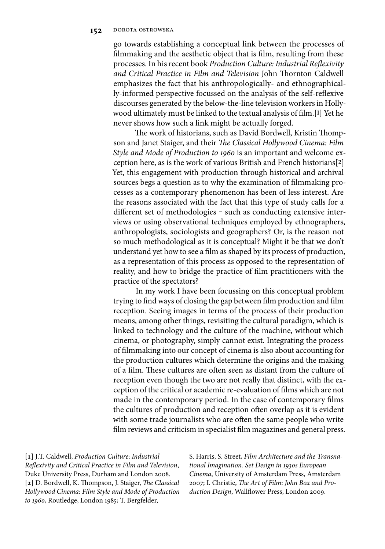go towards establishing a conceptual link between the processes of filmmaking and the aesthetic object that is film, resulting from these processes. In his recent book *Production Culture: Industrial Reflexivity* and Critical Practice in Film and Television John Thornton Caldwell emphasizes the fact that his anthropologically- and ethnographically-informed perspective focussed on the analysis of the self-reflexive discourses generated by the below-the-line television workers in Hollywood ultimately must be linked to the textual analysis of film.<sup>[1]</sup> Yet he never shows how such a link might be actually forged.

The work of historians, such as David Bordwell, Kristin Thompson and Janet Staiger, and their *The Classical Hollywood Cinema: Film Style and Mode of Production to 1960* is an important and welcome exception here, as is the work of various British and French historians[**2**] Yet, this engagement with production through historical and archival sources begs a question as to why the examination of filmmaking processes as a contemporary phenomenon has been of less interest. Are the reasons associated with the fact that this type of study calls for a different set of methodologies - such as conducting extensive interviews or using observational techniques employed by ethnographers, anthropologists, sociologists and geographers? Or, is the reason not so much methodological as it is conceptual? Might it be that we don't understand yet how to see a film as shaped by its process of production, as a representation of this process as opposed to the representation of reality, and how to bridge the practice of film practitioners with the practice of the spectators?

In my work I have been focussing on this conceptual problem trying to find ways of closing the gap between film production and film reception. Seeing images in terms of the process of their production means, among other things, revisiting the cultural paradigm, which is linked to technology and the culture of the machine, without which cinema, or photography, simply cannot exist. Integrating the process of filmmaking into our concept of cinema is also about accounting for the production cultures which determine the origins and the making of a film. These cultures are often seen as distant from the culture of reception even though the two are not really that distinct, with the exception of the critical or academic re-evaluation of films which are not made in the contemporary period. In the case of contemporary films the cultures of production and reception often overlap as it is evident with some trade journalists who are often the same people who write film reviews and criticism in specialist film magazines and general press.

**[1]** J.T. Caldwell, *Production Culture*: *Industrial Reflexivity and Critical Practice in Film and Television,* Duke University Press, Durham and London 2008. [2] D. Bordwell, K. Thompson, J. Staiger, *The Classical Hollywood Cinema*: *Film Style and Mode of Production to 1960*, Routledge, London 1985; T. Bergfelder,

S. Harris, S. Street, *Film Architecture and the Transnational Imagination. Set Design in 1930s European Cinema*, University of Amsterdam Press, Amsterdam 2007; I. Christie, *The Art of Film: John Box and Pro*duction Design, Wallflower Press, London 2009.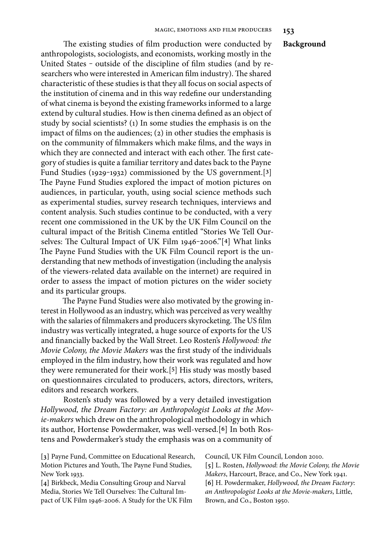#### **Background**

The existing studies of film production were conducted by anthropologists, sociologists, and economists, working mostly in the United States - outside of the discipline of film studies (and by researchers who were interested in American film industry). The shared characteristic of these studies is that they all focus on social aspects of the institution of cinema and in this way redefine our understanding of what cinema is beyond the existing frameworks informed to a large extend by cultural studies. How is then cinema defined as an object of study by social scientists? (1) In some studies the emphasis is on the impact of films on the audiences;  $(2)$  in other studies the emphasis is on the community of filmmakers which make films, and the ways in which they are connected and interact with each other. The first category of studies is quite a familiar territory and dates back to the Payne Fund Studies (1929‒1932) commissioned by the US government.[**3**] The Payne Fund Studies explored the impact of motion pictures on audiences, in particular, youth, using social science methods such as experimental studies, survey research techniques, interviews and content analysis. Such studies continue to be conducted, with a very recent one commissioned in the UK by the UK Film Council on the cultural impact of the British Cinema entitled "Stories We Tell Ourselves: The Cultural Impact of UK Film 1946-2006."[4] What links The Payne Fund Studies with the UK Film Council report is the understanding that new methods of investigation (including the analysis of the viewers-related data available on the internet) are required in order to assess the impact of motion pictures on the wider society and its particular groups.

The Payne Fund Studies were also motivated by the growing interest in Hollywood as an industry, which was perceived as very wealthy with the salaries of filmmakers and producers skyrocketing. The US film industry was vertically integrated, a huge source of exports for the US and financially backed by the Wall Street. Leo Rosten's *Hollywood: the Movie Colony, the Movie Makers* was the first study of the individuals employed in the film industry, how their work was regulated and how they were remunerated for their work.[**5**] His study was mostly based on questionnaires circulated to producers, actors, directors, writers, editors and research workers.

Rosten's study was followed by a very detailed investigation *Hollywood, the Dream Factory: an Anthropologist Looks at the Movie-makers* which drew on the anthropological methodology in which its author, Hortense Powdermaker, was well-versed.[**6**] In both Rostens and Powdermaker's study the emphasis was on a community of

**[3]** Payne Fund, Committee on Educational Research, Motion Pictures and Youth, The Payne Fund Studies, New York 1933.

**[4]** Birkbeck, Media Consulting Group and Narval Media, Stories We Tell Ourselves: The Cultural Impact of UK Film 1946-2006. A Study for the UK Film Council, UK Film Council, London 2010.

**[5]** L. Rosten, *Hollywood*: *the Movie Colony, the Movie Makers*, Harcourt, Brace, and Co., New York 1941. **[6]** H. Powdermaker, *Hollywood, the Dream Factory*: *an Anthropologist Looks at the Movie-makers*, Little, Brown, and Co., Boston 1950.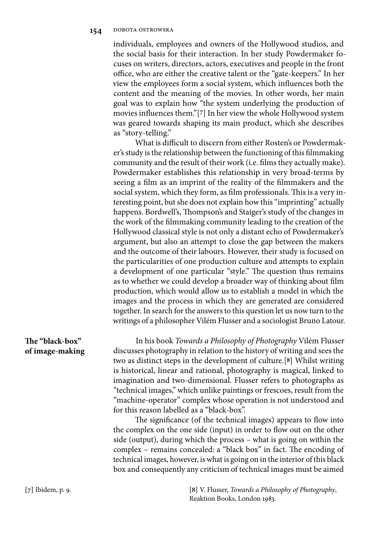individuals, employees and owners of the Hollywood studios, and the social basis for their interaction. In her study Powdermaker focuses on writers, directors, actors, executives and people in the front office, who are either the creative talent or the "gate-keepers." In her view the employees form a social system, which influences both the content and the meaning of the movies. In other words, her main goal was to explain how "the system underlying the production of movies influences them."[7] In her view the whole Hollywood system was geared towards shaping its main product, which she describes as "story-telling."

What is difficult to discern from either Rosten's or Powdermaker's study is the relationship between the functioning of this filmmaking community and the result of their work (i.e. films they actually make). Powdermaker establishes this relationship in very broad-terms by seeing a film as an imprint of the reality of the filmmakers and the social system, which they form, as film professionals. This is a very interesting point, but she does not explain how this "imprinting" actually happens. Bordwell's, Thompson's and Staiger's study of the changes in the work of the filmmaking community leading to the creation of the Hollywood classical style is not only a distant echo of Powdermaker's argument, but also an attempt to close the gap between the makers and the outcome of their labours. However, their study is focused on the particularities of one production culture and attempts to explain a development of one particular "style." The question thus remains as to whether we could develop a broader way of thinking about film production, which would allow us to establish a model in which the images and the process in which they are generated are considered together. In search for the answers to this question let us now turn to the writings of a philosopher Vilém Flusser and a sociologist Bruno Latour.

## The "black-box" **of image-making**

In his book *Towards a Philosophy of Photography* Vilém Flusser discusses photography in relation to the history of writing and sees the two as distinct steps in the development of culture.[**8**] Whilst writing is historical, linear and rational, photography is magical, linked to imagination and two-dimensional. Flusser refers to photographs as "technical images," which unlike paintings or frescoes, result from the "machine-operator" complex whose operation is not understood and for this reason labelled as a "black-box".

The significance (of the technical images) appears to flow into the complex on the one side (input) in order to flow out on the other side (output), during which the process – what is going on within the complex - remains concealed: a "black box" in fact. The encoding of technical images, however, is what is going on in the interior of this black box and consequently any criticism of technical images must be aimed

**[7]** Ibidem, p. 9. **[8]** V. Flusser, *Towards a Philosophy of Photography*, Reaktion Books, London 1983.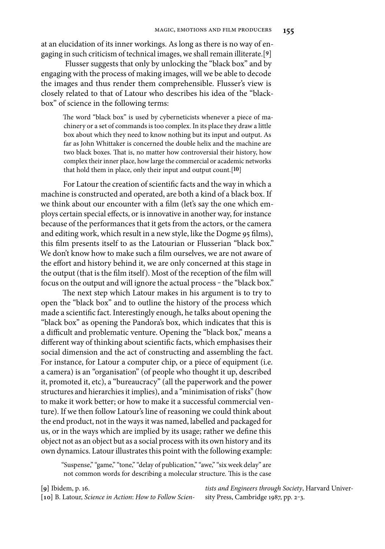at an elucidation of its inner workings. As long as there is no way of engaging in such criticism of technical images, we shall remain illiterate.[**9**]

 Flusser suggests that only by unlocking the "black box" and by engaging with the process of making images, will we be able to decode the images and thus render them comprehensible. Flusser's view is closely related to that of Latour who describes his idea of the "blackbox" of science in the following terms:

The word "black box" is used by cyberneticists whenever a piece of machinery or a set of commands is too complex. In its place they draw a little box about which they need to know nothing but its input and output. As far as John Whittaker is concerned the double helix and the machine are two black boxes. That is, no matter how controversial their history, how complex their inner place, how large the commercial or academic networks that hold them in place, only their input and output count.[**10**]

For Latour the creation of scientific facts and the way in which a machine is constructed and operated, are both a kind of a black box. If we think about our encounter with a film (let's say the one which employs certain special effects, or is innovative in another way, for instance because of the performances that it gets from the actors, or the camera and editing work, which result in a new style, like the Dogme 95 films), this film presents itself to as the Latourian or Flusserian "black box." We don't know how to make such a film ourselves, we are not aware of the effort and history behind it, we are only concerned at this stage in the output (that is the film itself). Most of the reception of the film will focus on the output and will ignore the actual process - the "black box."

The next step which Latour makes in his argument is to try to open the "black box" and to outline the history of the process which made a scientific fact. Interestingly enough, he talks about opening the "black box" as opening the Pandora's box, which indicates that this is a difficult and problematic venture. Opening the "black box," means a different way of thinking about scientific facts, which emphasises their social dimension and the act of constructing and assembling the fact. For instance, for Latour a computer chip, or a piece of equipment (i.e. a camera) is an "organisation" (of people who thought it up, described it, promoted it, etc), a "bureaucracy" (all the paperwork and the power structures and hierarchies it implies), and a "minimisation of risks" (how to make it work better; or how to make it a successful commercial venture). If we then follow Latour's line of reasoning we could think about the end product, not in the ways it was named, labelled and packaged for us, or in the ways which are implied by its usage; rather we define this object not as an object but as a social process with its own history and its own dynamics. Latour illustrates this point with the following example:

"Suspense," "game," "tone," "delay of publication," "awe," "six week delay" are not common words for describing a molecular structure. This is the case

**[9]** Ibidem, p. 16.

**[10]** B. Latour, *Science in Action*: *How to Follow Scien-*

*tists and Engineers through Society*, Harvard University Press, Cambridge 1987, pp. 2-3.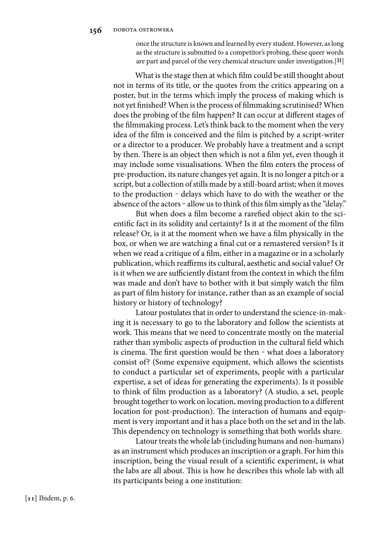once the structure is known and learned by every student. However, as long as the structure is submitted to a competitor's probing, these queer words are part and parcel of the very chemical structure under investigation.[**11**]

What is the stage then at which film could be still thought about not in terms of its title, or the quotes from the critics appearing on a poster, but in the terms which imply the process of making which is not yet finished? When is the process of filmmaking scrutinised? When does the probing of the film happen? It can occur at different stages of the filmmaking process. Let's think back to the moment when the very idea of the film is conceived and the film is pitched by a script-writer or a director to a producer. We probably have a treatment and a script by then. There is an object then which is not a film yet, even though it may include some visualisations. When the film enters the process of pre-production, its nature changes yet again. It is no longer a pitch or a script, but a collection of stills made by a still-board artist; when it moves to the production – delays which have to do with the weather or the absence of the actors - allow us to think of this film simply as the "delay."

But when does a film become a rarefied object akin to the scientific fact in its solidity and certainty? Is it at the moment of the film release? Or, is it at the moment when we have a film physically in the box, or when we are watching a final cut or a remastered version? Is it when we read a critique of a film, either in a magazine or in a scholarly publication, which reaffirms its cultural, aesthetic and social value? Or is it when we are sufficiently distant from the context in which the film was made and don't have to bother with it but simply watch the film as part of film history for instance, rather than as an example of social history or history of technology?

Latour postulates that in order to understand the science-in-making it is necessary to go to the laboratory and follow the scientists at work. This means that we need to concentrate mostly on the material rather than symbolic aspects of production in the cultural field which is cinema. The first question would be then - what does a laboratory consist of? (Some expensive equipment, which allows the scientists to conduct a particular set of experiments, people with a particular expertise, a set of ideas for generating the experiments). Is it possible to think of film production as a laboratory? (A studio, a set, people brought together to work on location, moving production to a different location for post-production). The interaction of humans and equipment is very important and it has a place both on the set and in the lab. This dependency on technology is something that both worlds share.

Latour treats the whole lab (including humans and non-humans) as an instrument which produces an inscription or a graph. For him this inscription, being the visual result of a scientific experiment, is what the labs are all about. This is how he describes this whole lab with all its participants being a one institution: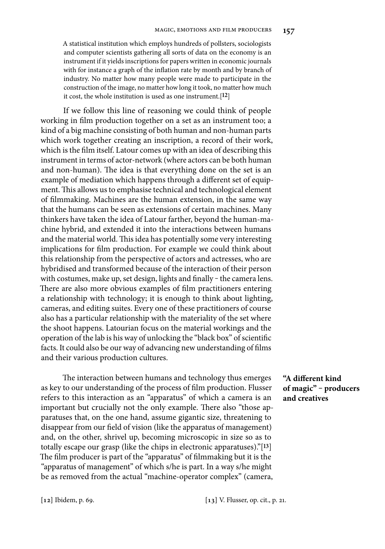A statistical institution which employs hundreds of pollsters, sociologists and computer scientists gathering all sorts of data on the economy is an instrument if it yields inscriptions for papers written in economic journals with for instance a graph of the inflation rate by month and by branch of industry. No matter how many people were made to participate in the construction of the image, no matter how long it took, no matter how much it cost, the whole institution is used as one instrument.[**12**]

If we follow this line of reasoning we could think of people working in film production together on a set as an instrument too; a kind of a big machine consisting of both human and non-human parts which work together creating an inscription, a record of their work, which is the film itself. Latour comes up with an idea of describing this instrument in terms of actor-network (where actors can be both human and non-human). The idea is that everything done on the set is an example of mediation which happens through a different set of equipment. This allows us to emphasise technical and technological element of filmmaking. Machines are the human extension, in the same way that the humans can be seen as extensions of certain machines. Many thinkers have taken the idea of Latour farther, beyond the human-machine hybrid, and extended it into the interactions between humans and the material world. This idea has potentially some very interesting implications for film production. For example we could think about this relationship from the perspective of actors and actresses, who are hybridised and transformed because of the interaction of their person with costumes, make up, set design, lights and finally - the camera lens. There are also more obvious examples of film practitioners entering a relationship with technology; it is enough to think about lighting, cameras, and editing suites. Every one of these practitioners of course also has a particular relationship with the materiality of the set where the shoot happens. Latourian focus on the material workings and the operation of the lab is his way of unlocking the "black box" of scientific facts. It could also be our way of advancing new understanding of films and their various production cultures.

The interaction between humans and technology thus emerges as key to our understanding of the process of film production. Flusser refers to this interaction as an "apparatus" of which a camera is an important but crucially not the only example. There also "those apparatuses that, on the one hand, assume gigantic size, threatening to disappear from our field of vision (like the apparatus of management) and, on the other, shrivel up, becoming microscopic in size so as to totally escape our grasp (like the chips in electronic apparatuses)."[**13**] The film producer is part of the "apparatus" of filmmaking but it is the "apparatus of management" of which s/he is part. In a way s/he might be as removed from the actual "machine-operator complex" (camera,

"A different kind **of magic" ‒ producers and creatives**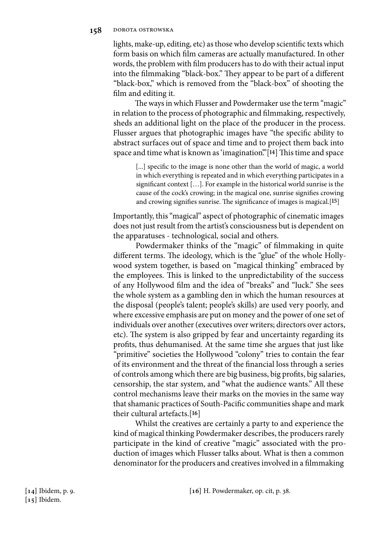#### **158** dorota ostrowska

lights, make-up, editing, etc) as those who develop scientific texts which form basis on which film cameras are actually manufactured. In other words, the problem with film producers has to do with their actual input into the filmmaking "black-box." They appear to be part of a different "black-box," which is removed from the "black-box" of shooting the film and editing it.

The ways in which Flusser and Powdermaker use the term "magic" in relation to the process of photographic and filmmaking, respectively, sheds an additional light on the place of the producer in the process. Flusser argues that photographic images have "the specific ability to abstract surfaces out of space and time and to project them back into space and time what is known as 'imagination."<sup>[14]</sup> This time and space

[...] specific to the image is none other than the world of magic, a world in which everything is repeated and in which everything participates in a significant context  $[\,\ldots]$ . For example in the historical world sunrise is the cause of the cock's crowing; in the magical one, sunrise signifies crowing and crowing signifies sunrise. The significance of images is magical.<sup>[15]</sup>

Importantly, this "magical" aspect of photographic of cinematic images does not just result from the artist's consciousness but is dependent on the apparatuses - technological, social and others.

Powdermaker thinks of the "magic" of filmmaking in quite different terms. The ideology, which is the "glue" of the whole Hollywood system together, is based on "magical thinking" embraced by the employees. This is linked to the unpredictability of the success of any Hollywood film and the idea of "breaks" and "luck." She sees the whole system as a gambling den in which the human resources at the disposal (people's talent; people's skills) are used very poorly, and where excessive emphasis are put on money and the power of one set of individuals over another (executives over writers; directors over actors, etc). The system is also gripped by fear and uncertainty regarding its profits, thus dehumanised. At the same time she argues that just like "primitive" societies the Hollywood "colony" tries to contain the fear of its environment and the threat of the financial loss through a series of controls among which there are big business, big profits, big salaries, censorship, the star system, and "what the audience wants." All these control mechanisms leave their marks on the movies in the same way that shamanic practices of South-Pacific communities shape and mark their cultural artefacts.[**16**]

Whilst the creatives are certainly a party to and experience the kind of magical thinking Powdermaker describes, the producers rarely participate in the kind of creative "magic" associated with the production of images which Flusser talks about. What is then a common denominator for the producers and creatives involved in a filmmaking

**[14]** Ibidem, p. 9. **[15]** Ibidem.